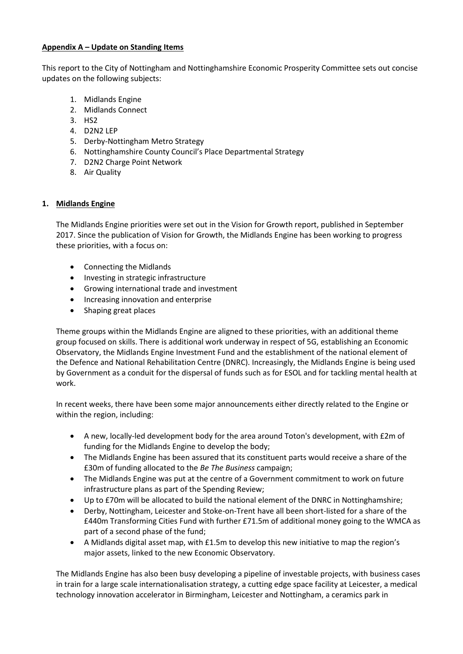## **Appendix A – Update on Standing Items**

This report to the City of Nottingham and Nottinghamshire Economic Prosperity Committee sets out concise updates on the following subjects:

- 1. Midlands Engine
- 2. Midlands Connect
- 3. HS2
- 4. D2N2 LEP
- 5. Derby-Nottingham Metro Strategy
- 6. Nottinghamshire County Council's Place Departmental Strategy
- 7. D2N2 Charge Point Network
- 8. Air Quality

# **1. Midlands Engine**

The Midlands Engine priorities were set out in the Vision for Growth report, published in September 2017. Since the publication of Vision for Growth, the Midlands Engine has been working to progress these priorities, with a focus on:

- Connecting the Midlands
- Investing in strategic infrastructure
- Growing international trade and investment
- Increasing innovation and enterprise
- Shaping great places

Theme groups within the Midlands Engine are aligned to these priorities, with an additional theme group focused on skills. There is additional work underway in respect of 5G, establishing an Economic Observatory, the Midlands Engine Investment Fund and the establishment of the national element of the Defence and National Rehabilitation Centre (DNRC). Increasingly, the Midlands Engine is being used by Government as a conduit for the dispersal of funds such as for ESOL and for tackling mental health at work.

In recent weeks, there have been some major announcements either directly related to the Engine or within the region, including:

- A new, locally-led development body for the area around Toton's development, with £2m of funding for the Midlands Engine to develop the body;
- The Midlands Engine has been assured that its constituent parts would receive a share of the £30m of funding allocated to the *Be The Business* campaign;
- The Midlands Engine was put at the centre of a Government commitment to work on future infrastructure plans as part of the Spending Review;
- Up to £70m will be allocated to build the national element of the DNRC in Nottinghamshire;
- Derby, Nottingham, Leicester and Stoke-on-Trent have all been short-listed for a share of the £440m Transforming Cities Fund with further £71.5m of additional money going to the WMCA as part of a second phase of the fund;
- A Midlands digital asset map, with £1.5m to develop this new initiative to map the region's major assets, linked to the new Economic Observatory.

The Midlands Engine has also been busy developing a pipeline of investable projects, with business cases in train for a large scale internationalisation strategy, a cutting edge space facility at Leicester, a medical technology innovation accelerator in Birmingham, Leicester and Nottingham, a ceramics park in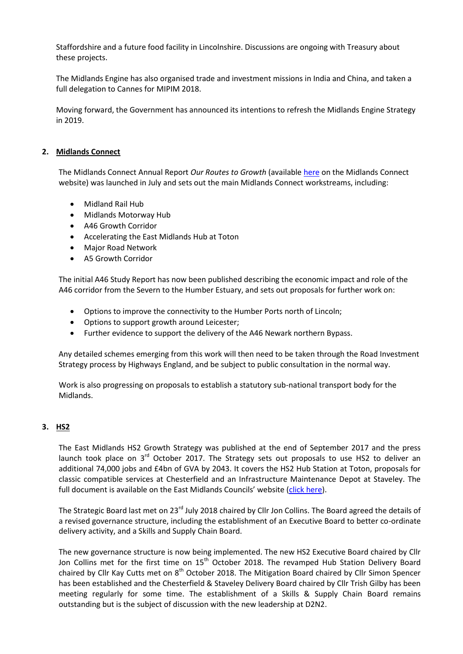Staffordshire and a future food facility in Lincolnshire. Discussions are ongoing with Treasury about these projects.

The Midlands Engine has also organised trade and investment missions in India and China, and taken a full delegation to Cannes for MIPIM 2018.

Moving forward, the Government has announced its intentions to refresh the Midlands Engine Strategy in 2019.

#### **2. Midlands Connect**

The Midlands Connect Annual Report *Our Routes to Growth* (available [here](https://www.midlandsconnect.uk/publications/our-routes-to-growth-july-2018/) on the Midlands Connect website) was launched in July and sets out the main Midlands Connect workstreams, including:

- Midland Rail Hub
- Midlands Motorway Hub
- A46 Growth Corridor
- Accelerating the East Midlands Hub at Toton
- Major Road Network
- A5 Growth Corridor

The initial A46 Study Report has now been published describing the economic impact and role of the A46 corridor from the Severn to the Humber Estuary, and sets out proposals for further work on:

- Options to improve the connectivity to the Humber Ports north of Lincoln;
- Options to support growth around Leicester;
- Further evidence to support the delivery of the A46 Newark northern Bypass.

Any detailed schemes emerging from this work will then need to be taken through the Road Investment Strategy process by Highways England, and be subject to public consultation in the normal way.

Work is also progressing on proposals to establish a statutory sub-national transport body for the Midlands.

#### **3. HS2**

The East Midlands HS2 Growth Strategy was published at the end of September 2017 and the press launch took place on  $3^{rd}$  October 2017. The Strategy sets out proposals to use HS2 to deliver an additional 74,000 jobs and £4bn of GVA by 2043. It covers the HS2 Hub Station at Toton, proposals for classic compatible services at Chesterfield and an Infrastructure Maintenance Depot at Staveley. The full document is available on the East Midlands Councils' website ([click here\)](http://www.emcouncils.gov.uk/write/East_Midlands_HS2_Growth_Strategy_-_September_2017.pdf).

The Strategic Board last met on 23<sup>rd</sup> July 2018 chaired by Cllr Jon Collins. The Board agreed the details of a revised governance structure, including the establishment of an Executive Board to better co-ordinate delivery activity, and a Skills and Supply Chain Board.

The new governance structure is now being implemented. The new HS2 Executive Board chaired by Cllr Jon Collins met for the first time on 15<sup>th</sup> October 2018. The revamped Hub Station Delivery Board chaired by Cllr Kay Cutts met on 8<sup>th</sup> October 2018. The Mitigation Board chaired by Cllr Simon Spencer has been established and the Chesterfield & Staveley Delivery Board chaired by Cllr Trish Gilby has been meeting regularly for some time. The establishment of a Skills & Supply Chain Board remains outstanding but is the subject of discussion with the new leadership at D2N2.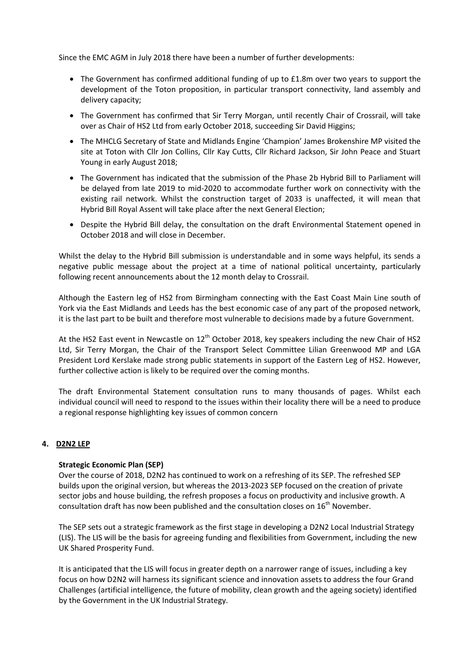Since the EMC AGM in July 2018 there have been a number of further developments:

- The Government has confirmed additional funding of up to £1.8m over two years to support the development of the Toton proposition, in particular transport connectivity, land assembly and delivery capacity;
- The Government has confirmed that Sir Terry Morgan, until recently Chair of Crossrail, will take over as Chair of HS2 Ltd from early October 2018, succeeding Sir David Higgins;
- The MHCLG Secretary of State and Midlands Engine 'Champion' James Brokenshire MP visited the site at Toton with Cllr Jon Collins, Cllr Kay Cutts, Cllr Richard Jackson, Sir John Peace and Stuart Young in early August 2018;
- The Government has indicated that the submission of the Phase 2b Hybrid Bill to Parliament will be delayed from late 2019 to mid-2020 to accommodate further work on connectivity with the existing rail network. Whilst the construction target of 2033 is unaffected, it will mean that Hybrid Bill Royal Assent will take place after the next General Election;
- Despite the Hybrid Bill delay, the consultation on the draft Environmental Statement opened in October 2018 and will close in December.

Whilst the delay to the Hybrid Bill submission is understandable and in some ways helpful, its sends a negative public message about the project at a time of national political uncertainty, particularly following recent announcements about the 12 month delay to Crossrail.

Although the Eastern leg of HS2 from Birmingham connecting with the East Coast Main Line south of York via the East Midlands and Leeds has the best economic case of any part of the proposed network, it is the last part to be built and therefore most vulnerable to decisions made by a future Government.

At the HS2 East event in Newcastle on  $12<sup>th</sup>$  October 2018, key speakers including the new Chair of HS2 Ltd, Sir Terry Morgan, the Chair of the Transport Select Committee Lilian Greenwood MP and LGA President Lord Kerslake made strong public statements in support of the Eastern Leg of HS2. However, further collective action is likely to be required over the coming months.

The draft Environmental Statement consultation runs to many thousands of pages. Whilst each individual council will need to respond to the issues within their locality there will be a need to produce a regional response highlighting key issues of common concern

# **4. D2N2 LEP**

#### **Strategic Economic Plan (SEP)**

Over the course of 2018, D2N2 has continued to work on a refreshing of its SEP. The refreshed SEP builds upon the original version, but whereas the 2013-2023 SEP focused on the creation of private sector jobs and house building, the refresh proposes a focus on productivity and inclusive growth. A consultation draft has now been published and the consultation closes on 16<sup>th</sup> November.

The SEP sets out a strategic framework as the first stage in developing a D2N2 Local Industrial Strategy (LIS). The LIS will be the basis for agreeing funding and flexibilities from Government, including the new UK Shared Prosperity Fund.

It is anticipated that the LIS will focus in greater depth on a narrower range of issues, including a key focus on how D2N2 will harness its significant science and innovation assets to address the four Grand Challenges (artificial intelligence, the future of mobility, clean growth and the ageing society) identified by the Government in the UK Industrial Strategy.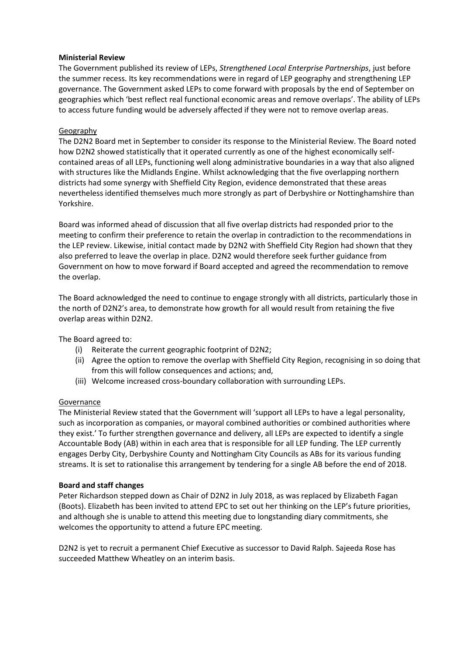#### **Ministerial Review**

The Government published its review of LEPs, *Strengthened Local Enterprise Partnerships*, just before the summer recess. Its key recommendations were in regard of LEP geography and strengthening LEP governance. The Government asked LEPs to come forward with proposals by the end of September on geographies which 'best reflect real functional economic areas and remove overlaps'. The ability of LEPs to access future funding would be adversely affected if they were not to remove overlap areas.

#### Geography

The D2N2 Board met in September to consider its response to the Ministerial Review. The Board noted how D2N2 showed statistically that it operated currently as one of the highest economically selfcontained areas of all LEPs, functioning well along administrative boundaries in a way that also aligned with structures like the Midlands Engine. Whilst acknowledging that the five overlapping northern districts had some synergy with Sheffield City Region, evidence demonstrated that these areas nevertheless identified themselves much more strongly as part of Derbyshire or Nottinghamshire than Yorkshire.

Board was informed ahead of discussion that all five overlap districts had responded prior to the meeting to confirm their preference to retain the overlap in contradiction to the recommendations in the LEP review. Likewise, initial contact made by D2N2 with Sheffield City Region had shown that they also preferred to leave the overlap in place. D2N2 would therefore seek further guidance from Government on how to move forward if Board accepted and agreed the recommendation to remove the overlap.

The Board acknowledged the need to continue to engage strongly with all districts, particularly those in the north of D2N2's area, to demonstrate how growth for all would result from retaining the five overlap areas within D2N2.

The Board agreed to:

- (i) Reiterate the current geographic footprint of D2N2;
- (ii) Agree the option to remove the overlap with Sheffield City Region, recognising in so doing that from this will follow consequences and actions; and,
- (iii) Welcome increased cross-boundary collaboration with surrounding LEPs.

#### **Governance**

The Ministerial Review stated that the Government will 'support all LEPs to have a legal personality, such as incorporation as companies, or mayoral combined authorities or combined authorities where they exist.' To further strengthen governance and delivery, all LEPs are expected to identify a single Accountable Body (AB) within in each area that is responsible for all LEP funding. The LEP currently engages Derby City, Derbyshire County and Nottingham City Councils as ABs for its various funding streams. It is set to rationalise this arrangement by tendering for a single AB before the end of 2018.

#### **Board and staff changes**

Peter Richardson stepped down as Chair of D2N2 in July 2018, as was replaced by Elizabeth Fagan (Boots). Elizabeth has been invited to attend EPC to set out her thinking on the LEP's future priorities, and although she is unable to attend this meeting due to longstanding diary commitments, she welcomes the opportunity to attend a future EPC meeting.

D2N2 is yet to recruit a permanent Chief Executive as successor to David Ralph. Sajeeda Rose has succeeded Matthew Wheatley on an interim basis.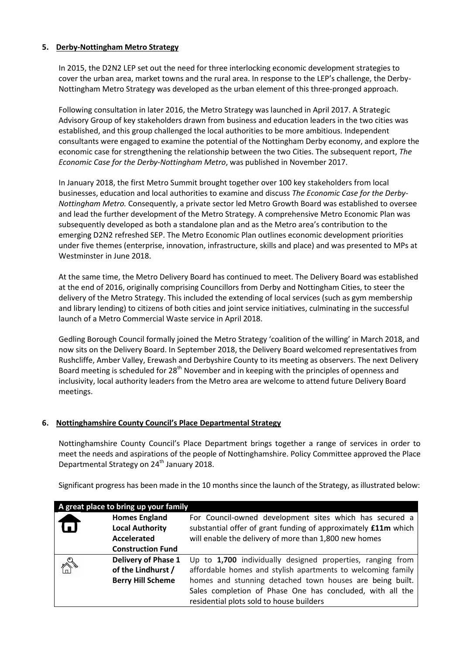## **5. Derby-Nottingham Metro Strategy**

In 2015, the D2N2 LEP set out the need for three interlocking economic development strategies to cover the urban area, market towns and the rural area. In response to the LEP's challenge, the Derby-Nottingham Metro Strategy was developed as the urban element of this three-pronged approach.

Following consultation in later 2016, the Metro Strategy was launched in April 2017. A Strategic Advisory Group of key stakeholders drawn from business and education leaders in the two cities was established, and this group challenged the local authorities to be more ambitious. Independent consultants were engaged to examine the potential of the Nottingham Derby economy, and explore the economic case for strengthening the relationship between the two Cities. The subsequent report, *The Economic Case for the Derby-Nottingham Metro*, was published in November 2017.

In January 2018, the first Metro Summit brought together over 100 key stakeholders from local businesses, education and local authorities to examine and discuss *The Economic Case for the Derby-Nottingham Metro.* Consequently, a private sector led Metro Growth Board was established to oversee and lead the further development of the Metro Strategy. A comprehensive Metro Economic Plan was subsequently developed as both a standalone plan and as the Metro area's contribution to the emerging D2N2 refreshed SEP. The Metro Economic Plan outlines economic development priorities under five themes (enterprise, innovation, infrastructure, skills and place) and was presented to MPs at Westminster in June 2018.

At the same time, the Metro Delivery Board has continued to meet. The Delivery Board was established at the end of 2016, originally comprising Councillors from Derby and Nottingham Cities, to steer the delivery of the Metro Strategy. This included the extending of local services (such as gym membership and library lending) to citizens of both cities and joint service initiatives, culminating in the successful launch of a Metro Commercial Waste service in April 2018.

Gedling Borough Council formally joined the Metro Strategy 'coalition of the willing' in March 2018, and now sits on the Delivery Board. In September 2018, the Delivery Board welcomed representatives from Rushcliffe, Amber Valley, Erewash and Derbyshire County to its meeting as observers. The next Delivery Board meeting is scheduled for 28<sup>th</sup> November and in keeping with the principles of openness and inclusivity, local authority leaders from the Metro area are welcome to attend future Delivery Board meetings.

# **6. Nottinghamshire County Council's Place Departmental Strategy**

Nottinghamshire County Council's Place Department brings together a range of services in order to meet the needs and aspirations of the people of Nottinghamshire. Policy Committee approved the Place Departmental Strategy on 24<sup>th</sup> January 2018.

Significant progress has been made in the 10 months since the launch of the Strategy, as illustrated below:

| A great place to bring up your family |                            |                                                                       |  |  |
|---------------------------------------|----------------------------|-----------------------------------------------------------------------|--|--|
|                                       | <b>Homes England</b>       | For Council-owned development sites which has secured a               |  |  |
|                                       | <b>Local Authority</b>     | substantial offer of grant funding of approximately <b>£11m</b> which |  |  |
|                                       | <b>Accelerated</b>         | will enable the delivery of more than 1,800 new homes                 |  |  |
|                                       | <b>Construction Fund</b>   |                                                                       |  |  |
|                                       | <b>Delivery of Phase 1</b> | Up to 1,700 individually designed properties, ranging from            |  |  |
| ê.                                    | of the Lindhurst /         | affordable homes and stylish apartments to welcoming family           |  |  |
|                                       | <b>Berry Hill Scheme</b>   | homes and stunning detached town houses are being built.              |  |  |
|                                       |                            | Sales completion of Phase One has concluded, with all the             |  |  |
|                                       |                            | residential plots sold to house builders                              |  |  |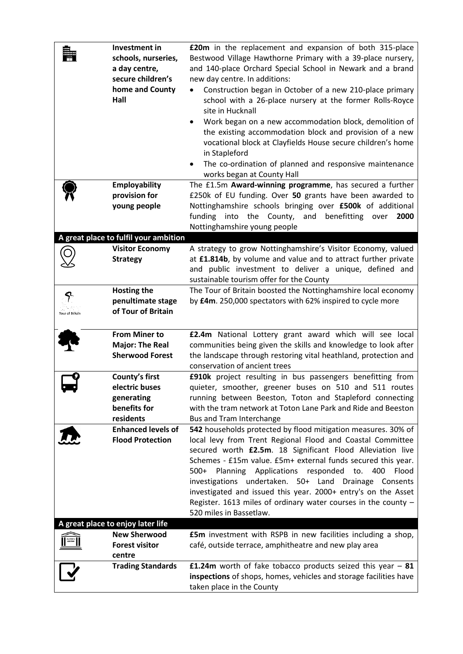|                 | Investment in<br>schools, nurseries,<br>a day centre,<br>secure children's<br>home and County<br>Hall | <b>£20m</b> in the replacement and expansion of both 315-place<br>Bestwood Village Hawthorne Primary with a 39-place nursery,<br>and 140-place Orchard Special School in Newark and a brand<br>new day centre. In additions:<br>Construction began in October of a new 210-place primary<br>$\bullet$<br>school with a 26-place nursery at the former Rolls-Royce<br>site in Hucknall<br>Work began on a new accommodation block, demolition of<br>the existing accommodation block and provision of a new<br>vocational block at Clayfields House secure children's home<br>in Stapleford<br>The co-ordination of planned and responsive maintenance<br>٠<br>works began at County Hall |
|-----------------|-------------------------------------------------------------------------------------------------------|------------------------------------------------------------------------------------------------------------------------------------------------------------------------------------------------------------------------------------------------------------------------------------------------------------------------------------------------------------------------------------------------------------------------------------------------------------------------------------------------------------------------------------------------------------------------------------------------------------------------------------------------------------------------------------------|
|                 | <b>Employability</b><br>provision for<br>young people                                                 | The £1.5m Award-winning programme, has secured a further<br>£250k of EU funding. Over 50 grants have been awarded to<br>Nottinghamshire schools bringing over £500k of additional<br>into the County,<br>funding<br>and<br>benefitting over<br>2000<br>Nottinghamshire young people                                                                                                                                                                                                                                                                                                                                                                                                      |
|                 | A great place to fulfil your ambition<br><b>Visitor Economy</b>                                       | A strategy to grow Nottinghamshire's Visitor Economy, valued                                                                                                                                                                                                                                                                                                                                                                                                                                                                                                                                                                                                                             |
|                 | <b>Strategy</b>                                                                                       | at £1.814b, by volume and value and to attract further private                                                                                                                                                                                                                                                                                                                                                                                                                                                                                                                                                                                                                           |
|                 |                                                                                                       | and public investment to deliver a unique, defined and                                                                                                                                                                                                                                                                                                                                                                                                                                                                                                                                                                                                                                   |
|                 |                                                                                                       | sustainable tourism offer for the County                                                                                                                                                                                                                                                                                                                                                                                                                                                                                                                                                                                                                                                 |
|                 | <b>Hosting the</b>                                                                                    | The Tour of Britain boosted the Nottinghamshire local economy                                                                                                                                                                                                                                                                                                                                                                                                                                                                                                                                                                                                                            |
|                 | penultimate stage                                                                                     | by £4m. 250,000 spectators with 62% inspired to cycle more                                                                                                                                                                                                                                                                                                                                                                                                                                                                                                                                                                                                                               |
| Tour of Britain | of Tour of Britain                                                                                    |                                                                                                                                                                                                                                                                                                                                                                                                                                                                                                                                                                                                                                                                                          |
|                 | <b>From Miner to</b>                                                                                  | £2.4m National Lottery grant award which will see local                                                                                                                                                                                                                                                                                                                                                                                                                                                                                                                                                                                                                                  |
|                 | <b>Major: The Real</b>                                                                                | communities being given the skills and knowledge to look after                                                                                                                                                                                                                                                                                                                                                                                                                                                                                                                                                                                                                           |
|                 | <b>Sherwood Forest</b>                                                                                | the landscape through restoring vital heathland, protection and                                                                                                                                                                                                                                                                                                                                                                                                                                                                                                                                                                                                                          |
|                 |                                                                                                       | conservation of ancient trees                                                                                                                                                                                                                                                                                                                                                                                                                                                                                                                                                                                                                                                            |
|                 | County's first                                                                                        | £910k project resulting in bus passengers benefitting from                                                                                                                                                                                                                                                                                                                                                                                                                                                                                                                                                                                                                               |
|                 | electric buses                                                                                        | quieter, smoother, greener buses on 510 and 511 routes                                                                                                                                                                                                                                                                                                                                                                                                                                                                                                                                                                                                                                   |
|                 | generating<br>benefits for                                                                            | running between Beeston, Toton and Stapleford connecting                                                                                                                                                                                                                                                                                                                                                                                                                                                                                                                                                                                                                                 |
|                 | residents                                                                                             | with the tram network at Toton Lane Park and Ride and Beeston                                                                                                                                                                                                                                                                                                                                                                                                                                                                                                                                                                                                                            |
|                 | <b>Enhanced levels of</b>                                                                             | Bus and Tram Interchange<br>542 households protected by flood mitigation measures. 30% of                                                                                                                                                                                                                                                                                                                                                                                                                                                                                                                                                                                                |
|                 | <b>Flood Protection</b>                                                                               | local levy from Trent Regional Flood and Coastal Committee                                                                                                                                                                                                                                                                                                                                                                                                                                                                                                                                                                                                                               |
|                 |                                                                                                       | secured worth £2.5m. 18 Significant Flood Alleviation live                                                                                                                                                                                                                                                                                                                                                                                                                                                                                                                                                                                                                               |
|                 |                                                                                                       | Schemes - £15m value. £5m+ external funds secured this year.                                                                                                                                                                                                                                                                                                                                                                                                                                                                                                                                                                                                                             |
|                 |                                                                                                       | Planning Applications responded to.<br>$500+$<br>400<br>Flood                                                                                                                                                                                                                                                                                                                                                                                                                                                                                                                                                                                                                            |
|                 |                                                                                                       | investigations undertaken. 50+ Land Drainage Consents                                                                                                                                                                                                                                                                                                                                                                                                                                                                                                                                                                                                                                    |
|                 |                                                                                                       | investigated and issued this year. 2000+ entry's on the Asset                                                                                                                                                                                                                                                                                                                                                                                                                                                                                                                                                                                                                            |
|                 |                                                                                                       | Register. 1613 miles of ordinary water courses in the county -                                                                                                                                                                                                                                                                                                                                                                                                                                                                                                                                                                                                                           |
|                 |                                                                                                       | 520 miles in Bassetlaw.                                                                                                                                                                                                                                                                                                                                                                                                                                                                                                                                                                                                                                                                  |
|                 | A great place to enjoy later life                                                                     |                                                                                                                                                                                                                                                                                                                                                                                                                                                                                                                                                                                                                                                                                          |
|                 | <b>New Sherwood</b>                                                                                   | <b>£5m</b> investment with RSPB in new facilities including a shop,                                                                                                                                                                                                                                                                                                                                                                                                                                                                                                                                                                                                                      |
|                 | <b>Forest visitor</b>                                                                                 | café, outside terrace, amphitheatre and new play area                                                                                                                                                                                                                                                                                                                                                                                                                                                                                                                                                                                                                                    |
|                 | centre                                                                                                |                                                                                                                                                                                                                                                                                                                                                                                                                                                                                                                                                                                                                                                                                          |
|                 | <b>Trading Standards</b>                                                                              | £1.24m worth of fake tobacco products seized this year $-81$<br>inspections of shops, homes, vehicles and storage facilities have                                                                                                                                                                                                                                                                                                                                                                                                                                                                                                                                                        |
|                 |                                                                                                       | taken place in the County                                                                                                                                                                                                                                                                                                                                                                                                                                                                                                                                                                                                                                                                |
|                 |                                                                                                       |                                                                                                                                                                                                                                                                                                                                                                                                                                                                                                                                                                                                                                                                                          |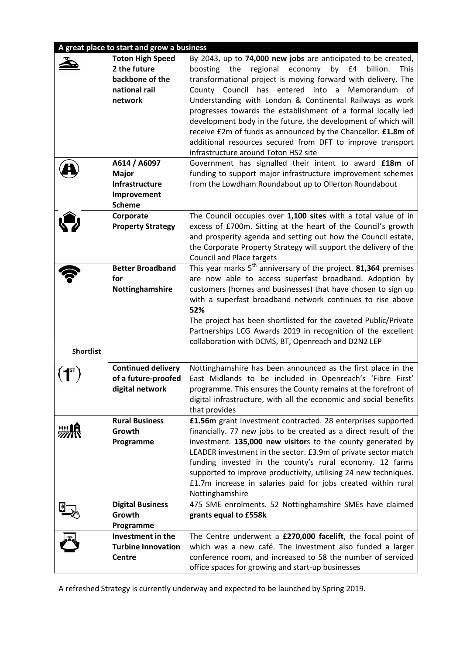# **A great place to start and grow a business**

|                                       | <b>Toton High Speed</b><br>2 the future<br>backbone of the<br>national rail<br>network<br>A614 / A6097 | By 2043, up to 74,000 new jobs are anticipated to be created,<br>by £4<br>boosting the<br>regional economy<br>billion.<br><b>This</b><br>transformational project is moving forward with delivery. The<br>County Council has entered into a Memorandum of<br>Understanding with London & Continental Railways as work<br>progresses towards the establishment of a formal locally led<br>development body in the future, the development of which will<br>receive £2m of funds as announced by the Chancellor. £1.8m of<br>additional resources secured from DFT to improve transport<br>infrastructure around Toton HS2 site<br>Government has signalled their intent to award £18m of |
|---------------------------------------|--------------------------------------------------------------------------------------------------------|-----------------------------------------------------------------------------------------------------------------------------------------------------------------------------------------------------------------------------------------------------------------------------------------------------------------------------------------------------------------------------------------------------------------------------------------------------------------------------------------------------------------------------------------------------------------------------------------------------------------------------------------------------------------------------------------|
|                                       | <b>Major</b><br>Infrastructure<br>Improvement<br><b>Scheme</b>                                         | funding to support major infrastructure improvement schemes<br>from the Lowdham Roundabout up to Ollerton Roundabout                                                                                                                                                                                                                                                                                                                                                                                                                                                                                                                                                                    |
|                                       | Corporate<br><b>Property Strategy</b>                                                                  | The Council occupies over 1,100 sites with a total value of in<br>excess of £700m. Sitting at the heart of the Council's growth<br>and prosperity agenda and setting out how the Council estate,<br>the Corporate Property Strategy will support the delivery of the<br><b>Council and Place targets</b>                                                                                                                                                                                                                                                                                                                                                                                |
|                                       | <b>Better Broadband</b>                                                                                | This year marks $5th$ anniversary of the project. <b>81,364</b> premises                                                                                                                                                                                                                                                                                                                                                                                                                                                                                                                                                                                                                |
|                                       | for                                                                                                    | are now able to access superfast broadband. Adoption by                                                                                                                                                                                                                                                                                                                                                                                                                                                                                                                                                                                                                                 |
|                                       | Nottinghamshire                                                                                        | customers (homes and businesses) that have chosen to sign up<br>with a superfast broadband network continues to rise above<br>52%<br>The project has been shortlisted for the coveted Public/Private<br>Partnerships LCG Awards 2019 in recognition of the excellent<br>collaboration with DCMS, BT, Openreach and D2N2 LEP                                                                                                                                                                                                                                                                                                                                                             |
| Shortlist                             |                                                                                                        |                                                                                                                                                                                                                                                                                                                                                                                                                                                                                                                                                                                                                                                                                         |
| $(\P^{\scriptscriptstyle\mathsf{r}})$ | <b>Continued delivery</b><br>of a future-proofed<br>digital network                                    | Nottinghamshire has been announced as the first place in the<br>East Midlands to be included in Openreach's 'Fibre First'<br>programme. This ensures the County remains at the forefront of<br>digital infrastructure, with all the economic and social benefits<br>that provides                                                                                                                                                                                                                                                                                                                                                                                                       |
|                                       | <b>Rural Business</b>                                                                                  | £1.56m grant investment contracted. 28 enterprises supported                                                                                                                                                                                                                                                                                                                                                                                                                                                                                                                                                                                                                            |
|                                       | Growth<br>Programme                                                                                    | financially. 77 new jobs to be created as a direct result of the<br>investment. 135,000 new visitors to the county generated by                                                                                                                                                                                                                                                                                                                                                                                                                                                                                                                                                         |
|                                       |                                                                                                        | LEADER investment in the sector. £3.9m of private sector match                                                                                                                                                                                                                                                                                                                                                                                                                                                                                                                                                                                                                          |
|                                       |                                                                                                        | funding invested in the county's rural economy. 12 farms                                                                                                                                                                                                                                                                                                                                                                                                                                                                                                                                                                                                                                |
|                                       |                                                                                                        | supported to improve productivity, utilising 24 new techniques.                                                                                                                                                                                                                                                                                                                                                                                                                                                                                                                                                                                                                         |
|                                       |                                                                                                        | £1.7m increase in salaries paid for jobs created within rural<br>Nottinghamshire                                                                                                                                                                                                                                                                                                                                                                                                                                                                                                                                                                                                        |
|                                       | <b>Digital Business</b>                                                                                | 475 SME enrolments. 52 Nottinghamshire SMEs have claimed                                                                                                                                                                                                                                                                                                                                                                                                                                                                                                                                                                                                                                |
|                                       | Growth                                                                                                 | grants equal to £558k                                                                                                                                                                                                                                                                                                                                                                                                                                                                                                                                                                                                                                                                   |
|                                       | Programme                                                                                              |                                                                                                                                                                                                                                                                                                                                                                                                                                                                                                                                                                                                                                                                                         |
|                                       | Investment in the                                                                                      | The Centre underwent a £270,000 facelift, the focal point of                                                                                                                                                                                                                                                                                                                                                                                                                                                                                                                                                                                                                            |
|                                       | <b>Turbine Innovation</b>                                                                              | which was a new café. The investment also funded a larger                                                                                                                                                                                                                                                                                                                                                                                                                                                                                                                                                                                                                               |
|                                       | Centre                                                                                                 | conference room, and increased to 58 the number of serviced<br>office spaces for growing and start-up businesses                                                                                                                                                                                                                                                                                                                                                                                                                                                                                                                                                                        |

A refreshed Strategy is currently underway and expected to be launched by Spring 2019.